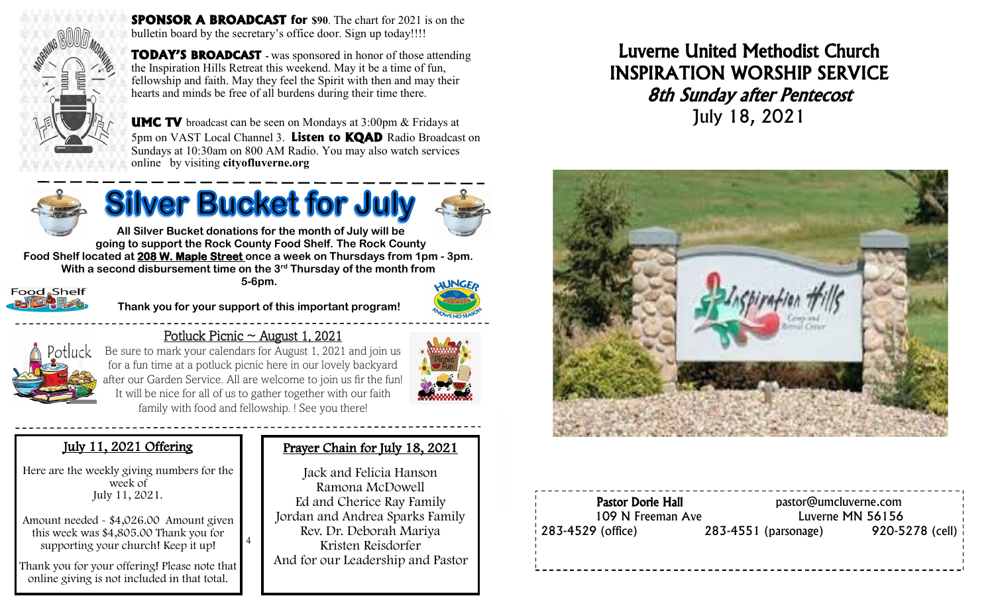

**SPONSOR A BROADCAST** for \$90. The chart for 2021 is on the bulletin board by the secretary's office door. Sign up today!!!!

**TODAY'S BROADCAST -** was sponsored in honor of those attending the Inspiration Hills Retreat this weekend. May it be a time of fun, fellowship and faith. May they feel the Spirit with then and may their hearts and minds be free of all burdens during their time there.



**UMC TV** broadcast can be seen on Mondays at 3:00pm & Fridays at 5pm on VAST Local Channel 3. **Listen to KQAD** Radio Broadcast on Sundays at 10:30am on 800 AM Radio. You may also watch services online by visiting **cityofluverne.org**



# **Silver Bucket for July**



**All Silver Bucket donations for the month of July will be going to support the Rock County Food Shelf. The Rock County Food Shelf located at 208 W. Maple Street once a week on Thursdays from 1pm - 3pm. With a second disbursement time on the 3rd Thursday of the month from 5-6pm.** 



**Thank you for your support of this important program!**

It will be nice for all of us to gather together with our faith



Potluck Picnic  $\sim$  August 1, 2021

4





family with food and fellowship. ! See you there!

## July 11, 2021 Offering

Here are the weekly giving numbers for the week of July 11, 2021.

Amount needed - \$4,026.00 Amount given this week was \$4,805.00 Thank you for supporting your church! Keep it up!

Thank you for your offering! Please note that online giving is not included in that total.

## Prayer Chain for July 18, 2021

Jack and Felicia Hanson Ramona McDowell Ed and Cherice Ray Family Jordan and Andrea Sparks Family Rev. Dr. Deborah Mariya Kristen Reisdorfer And for our Leadership and Pastor

## Luverne United Methodist Church INSPIRATION WORSHIP SERVICE 8th Sunday after Pentecost July 18, 2021